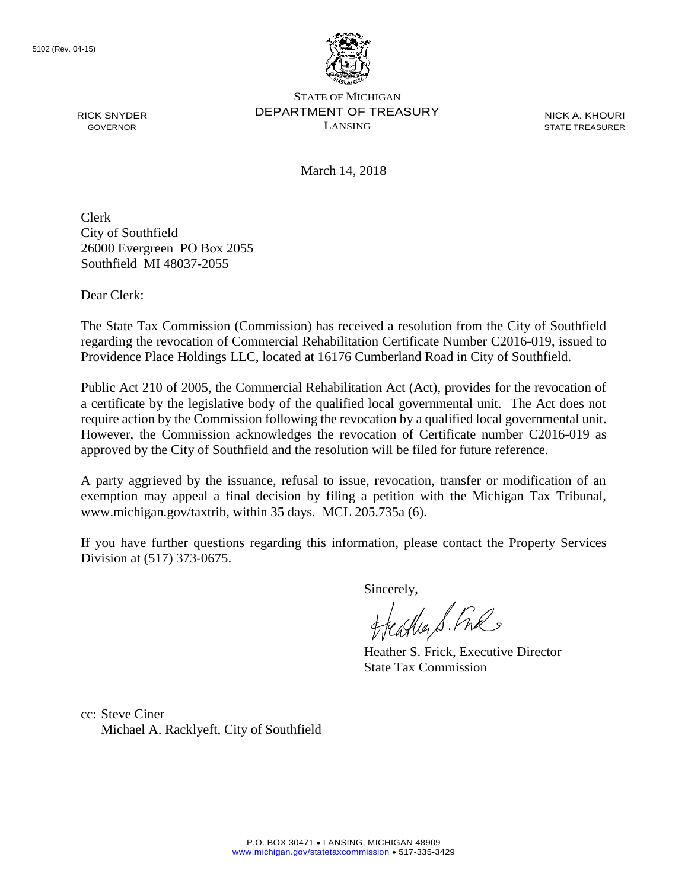

STATE OF MICHIGAN DEPARTMENT OF TREASURY LANSING

NICK A. KHOURI STATE TREASURER

March 14, 2018

Clerk City of Southfield 26000 Evergreen PO Box 2055 Southfield MI 48037-2055

Dear Clerk:

RICK SNYDER GOVERNOR

The State Tax Commission (Commission) has received a resolution from the City of Southfield regarding the revocation of Commercial Rehabilitation Certificate Number C2016-019, issued to Providence Place Holdings LLC, located at 16176 Cumberland Road in City of Southfield.

Public Act 210 of 2005, the Commercial Rehabilitation Act (Act), provides for the revocation of a certificate by the legislative body of the qualified local governmental unit. The Act does not require action by the Commission following the revocation by a qualified local governmental unit. However, the Commission acknowledges the revocation of Certificate number C2016-019 as approved by the City of Southfield and the resolution will be filed for future reference.

A party aggrieved by the issuance, refusal to issue, revocation, transfer or modification of an exemption may appeal a final decision by filing a petition with the Michigan Tax Tribunal, www.michigan.gov/taxtrib, within 35 days. MCL 205.735a (6).

If you have further questions regarding this information, please contact the Property Services Division at (517) 373-0675.

Sincerely,<br>Heather S. Fuls

Heather S. Frick, Executive Director State Tax Commission

cc: Steve Ciner Michael A. Racklyeft, City of Southfield